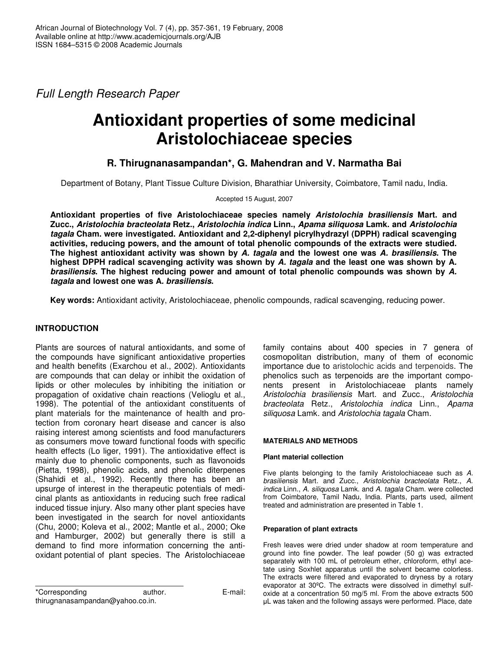*Full Length Research Paper*

# **Antioxidant properties of some medicinal Aristolochiaceae species**

# **R. Thirugnanasampandan\*, G. Mahendran and V. Narmatha Bai**

Department of Botany, Plant Tissue Culture Division, Bharathiar University, Coimbatore, Tamil nadu, India.

Accepted 15 August, 2007

**Antioxidant properties of five Aristolochiaceae species namely** *Aristolochia brasiliensis* **Mart. and Zucc.,** *Aristolochia bracteolata* **Retz.,** *Aristolochia indica* **Linn.,** *Apama siliquosa* **Lamk. and** *Aristolochia tagala* **Cham. were investigated. Antioxidant and 2,2-diphenyl picrylhydrazyl (DPPH) radical scavenging activities, reducing powers, and the amount of total phenolic compounds of the extracts were studied.** The highest antioxidant activity was shown by A. tagala and the lowest one was A. brasiliensis. The highest DPPH radical scavenging activity was shown by A. tagala and the least one was shown by A. *brasiliensis***. The highest reducing power and amount of total phenolic compounds was shown by** *A. tagala* **and lowest one was A***. brasiliensis***.**

**Key words:** Antioxidant activity, Aristolochiaceae, phenolic compounds, radical scavenging, reducing power.

# **INTRODUCTION**

Plants are sources of natural antioxidants, and some of the compounds have significant antioxidative properties and health benefits (Exarchou et al., 2002). Antioxidants are compounds that can delay or inhibit the oxidation of lipids or other molecules by inhibiting the initiation or propagation of oxidative chain reactions (Velioglu et al., 1998). The potential of the antioxidant constituents of plant materials for the maintenance of health and protection from coronary heart disease and cancer is also raising interest among scientists and food manufacturers as consumers move toward functional foods with specific health effects (Lo liger, 1991). The antioxidative effect is mainly due to phenolic components, such as flavonoids (Pietta, 1998), phenolic acids, and phenolic diterpenes (Shahidi et al*.*, 1992). Recently there has been an upsurge of interest in the therapeutic potentials of medicinal plants as antioxidants in reducing such free radical induced tissue injury. Also many other plant species have been investigated in the search for novel antioxidants (Chu, 2000; Koleva et al., 2002; Mantle et al., 2000; Oke and Hamburger, 2002) but generally there is still a demand to find more information concerning the antioxidant potential of plant species. The Aristolochiaceae

\*Corresponding author. E-mail: thirugnanasampandan@yahoo.co.in.

family contains about 400 species in 7 genera of cosmopolitan distribution, many of them of economic importance due to aristolochic acids and terpenoids. The phenolics such as terpenoids are the important components present in Aristolochiaceae plants namely *Aristolochia brasiliensis* Mart. and Zucc., *Aristolochia bracteolata* Retz., *Aristolochia indica* Linn., *Apama siliquosa* Lamk. and *Aristolochia tagala* Cham.

## **MATERIALS AND METHODS**

#### **Plant material collection**

Five plants belonging to the family Aristolochiaceae such as *A. brasiliensis* Mart. and Zucc., *Aristolochia bracteolata* Retz., *A. indica* Linn., *A. siliquosa* Lamk. and *A. tagala* Cham. were collected from Coimbatore, Tamil Nadu, India. Plants, parts used, ailment treated and administration are presented in Table 1.

#### **Preparation of plant extracts**

Fresh leaves were dried under shadow at room temperature and ground into fine powder. The leaf powder (50 g) was extracted separately with 100 mL of petroleum ether, chloroform, ethyl acetate using Soxhlet apparatus until the solvent became colorless. The extracts were filtered and evaporated to dryness by a rotary evaporator at 30ºC. The extracts were dissolved in dimethyl sulfoxide at a concentration 50 mg/5 ml. From the above extracts 500 L was taken and the following assays were performed. Place, date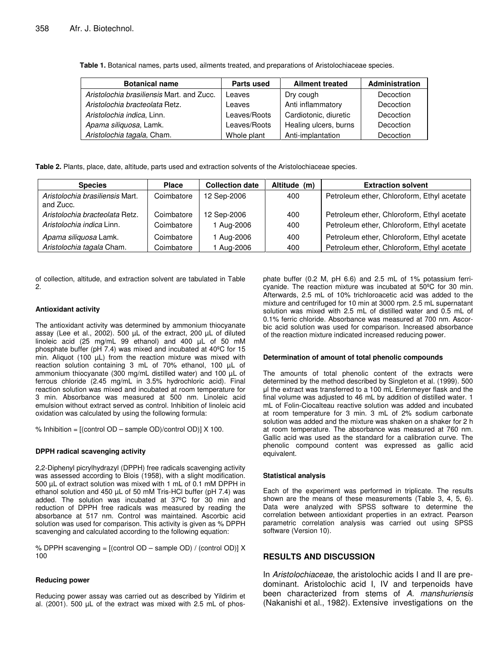**Table 1.** Botanical names, parts used, ailments treated, and preparations of Aristolochiaceae species.

| <b>Botanical name</b>                     | <b>Parts used</b> | <b>Ailment treated</b> | Administration |
|-------------------------------------------|-------------------|------------------------|----------------|
| Aristolochia brasiliensis Mart, and Zucc. | Leaves            | Dry cough              | Decoction      |
| Aristolochia bracteolata Retz.            | Leaves            | Anti inflammatory      | Decoction      |
| Aristolochia indica, Linn.                | Leaves/Roots      | Cardiotonic, diuretic  | Decoction      |
| Apama siliquosa, Lamk.                    | Leaves/Roots      | Healing ulcers, burns  | Decoction      |
| Aristolochia tagala, Cham.                | Whole plant       | Anti-implantation      | Decoction      |

**Table 2.** Plants, place, date, altitude, parts used and extraction solvents of the Aristolochiaceae species.

| <b>Species</b>                               | <b>Place</b> | <b>Collection date</b> | Altitude (m) | <b>Extraction solvent</b>                  |
|----------------------------------------------|--------------|------------------------|--------------|--------------------------------------------|
| Aristolochia brasiliensis Mart.<br>and Zucc. | Coimbatore   | 12 Sep-2006            | 400          | Petroleum ether, Chloroform, Ethyl acetate |
| Aristolochia bracteolata Retz.               | Coimbatore   | 12 Sep-2006            | 400          | Petroleum ether, Chloroform, Ethyl acetate |
| Aristolochia indica Linn.                    | Coimbatore   | 1 Aug-2006             | 400          | Petroleum ether, Chloroform, Ethyl acetate |
| Apama siliquosa Lamk.                        | Coimbatore   | l Aug-2006             | 400          | Petroleum ether, Chloroform, Ethyl acetate |
| Aristolochia tagala Cham.                    | Coimbatore   | Aug-2006               | 400          | Petroleum ether, Chloroform, Ethyl acetate |

of collection, altitude, and extraction solvent are tabulated in Table 2.

#### **Antioxidant activity**

The antioxidant activity was determined by ammonium thiocyanate assay (Lee et al., 2002). 500 µL of the extract, 200 µL of diluted linoleic acid (25 mg/mL 99 ethanol) and 400 µL of 50 mM phosphate buffer (pH 7.4) was mixed and incubated at 40ºC for 15 min. Aliquot (100 µL) from the reaction mixture was mixed with reaction solution containing 3 mL of 70% ethanol, 100 µL of ammonium thiocyanate (300 mg/mL distilled water) and 100 µL of ferrous chloride (2.45 mg/mL in 3.5% hydrochloric acid). Final reaction solution was mixed and incubated at room temperature for 3 min. Absorbance was measured at 500 nm. Linoleic acid emulsion without extract served as control. Inhibition of linoleic acid oxidation was calculated by using the following formula:

% Inhibition =  $[(control OD - sample OD)/control OD] X 100$ .

#### **DPPH radical scavenging activity**

2,2-Diphenyl picrylhydrazyl (DPPH) free radicals scavenging activity was assessed according to Blois (1958), with a slight modification. 500 µL of extract solution was mixed with 1 mL of 0.1 mM DPPH in ethanol solution and 450 µL of 50 mM Tris-HCl buffer (pH 7.4) was added. The solution was incubated at 37ºC for 30 min and reduction of DPPH free radicals was measured by reading the absorbance at 517 nm. Control was maintained. Ascorbic acid solution was used for comparison. This activity is given as % DPPH scavenging and calculated according to the following equation:

% DPPH scavenging = [(control OD – sample OD) / (control OD)] X 100

#### **Reducing power**

Reducing power assay was carried out as described by Yildirim et al. (2001). 500 µL of the extract was mixed with 2.5 mL of phos-

phate buffer (0.2 M, pH 6.6) and 2.5 mL of 1% potassium ferricyanide. The reaction mixture was incubated at 50ºC for 30 min. Afterwards, 2.5 mL of 10% trichloroacetic acid was added to the mixture and centrifuged for 10 min at 3000 rpm. 2.5 mL supernatant solution was mixed with 2.5 mL of distilled water and 0.5 mL of 0.1% ferric chloride. Absorbance was measured at 700 nm. Ascorbic acid solution was used for comparison. Increased absorbance of the reaction mixture indicated increased reducing power.

#### **Determination of amount of total phenolic compounds**

The amounts of total phenolic content of the extracts were determined by the method described by Singleton et al. (1999). 500 l the extract was transferred to a 100 mL Erlenmeyer flask and the final volume was adjusted to 46 mL by addition of distilled water. 1 mL of Folin-Ciocalteau reactive solution was added and incubated at room temperature for 3 min. 3 mL of 2% sodium carbonate solution was added and the mixture was shaken on a shaker for 2 h at room temperature. The absorbance was measured at 760 nm. Gallic acid was used as the standard for a calibration curve. The phenolic compound content was expressed as gallic acid equivalent.

#### **Statistical analysis**

Each of the experiment was performed in triplicate. The results shown are the means of these measurements (Table 3, 4, 5, 6). Data were analyzed with SPSS software to determine the correlation between antioxidant properties in an extract. Pearson parametric correlation analysis was carried out using SPSS software (Version 10).

## **RESULTS AND DISCUSSION**

In *Aristolochiaceae*, the aristolochic acids I and II are predominant. Aristolochic acid I, IV and terpenoids have been characterized from stems of *A. manshuriensis* (Nakanishi et al., 1982). Extensive investigations on the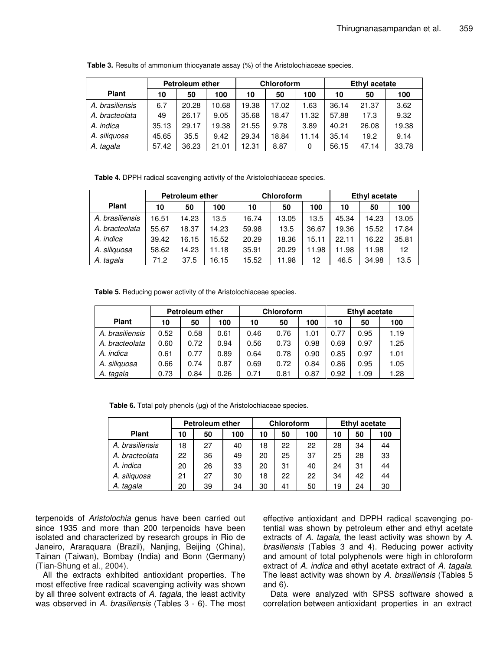|                 |       | <b>Petroleum ether</b> |       |       | Chloroform |       | <b>Ethyl acetate</b> |       |       |
|-----------------|-------|------------------------|-------|-------|------------|-------|----------------------|-------|-------|
| <b>Plant</b>    | 10    | 50                     | 100   | 10    | 50         | 100   | 10                   | 50    | 100   |
| A. brasiliensis | 6.7   | 20.28                  | 10.68 | 19.38 | 17.02      | 1.63  | 36.14                | 21.37 | 3.62  |
| A. bracteolata  | 49    | 26.17                  | 9.05  | 35.68 | 18.47      | 11.32 | 57.88                | 17.3  | 9.32  |
| A. indica       | 35.13 | 29.17                  | 19.38 | 21.55 | 9.78       | 3.89  | 40.21                | 26.08 | 19.38 |
| A. siliquosa    | 45.65 | 35.5                   | 9.42  | 29.34 | 18.84      | 11.14 | 35.14                | 19.2  | 9.14  |
| A. tagala       | 57.42 | 36.23                  | 21.01 | 12.31 | 8.87       | 0     | 56.15                | 47.14 | 33.78 |

**Table 3.** Results of ammonium thiocyanate assay (%) of the Aristolochiaceae species.

**Table 4.** DPPH radical scavenging activity of the Aristolochiaceae species.

|                 | <b>Petroleum ether</b> |       |       |       | <b>Chloroform</b> |       | Ethyl acetate |       |       |
|-----------------|------------------------|-------|-------|-------|-------------------|-------|---------------|-------|-------|
| <b>Plant</b>    | 10                     | 50    | 100   | 10    | 50                | 100   | 10            | 50    | 100   |
| A. brasiliensis | 16.51                  | 14.23 | 13.5  | 16.74 | 13.05             | 13.5  | 45.34         | 14.23 | 13.05 |
| A. bracteolata  | 55.67                  | 18.37 | 14.23 | 59.98 | 13.5              | 36.67 | 19.36         | 15.52 | 17.84 |
| A. indica       | 39.42                  | 16.15 | 15.52 | 20.29 | 18.36             | 15.11 | 22.11         | 16.22 | 35.81 |
| A. siliguosa    | 58.62                  | 14.23 | 11.18 | 35.91 | 20.29             | 11.98 | 11.98         | 11.98 | 12    |
| A. tagala       | 71.2                   | 37.5  | 16.15 | 15.52 | 11.98             | 12    | 46.5          | 34.98 | 13.5  |

**Table 5.** Reducing power activity of the Aristolochiaceae species.

|                 | <b>Petroleum ether</b> |      |      |      | <b>Chloroform</b> |      | <b>Ethyl acetate</b> |      |      |
|-----------------|------------------------|------|------|------|-------------------|------|----------------------|------|------|
| <b>Plant</b>    | 10                     | 50   | 100  | 10   | 50                | 100  | 10                   | 50   | 100  |
| A. brasiliensis | 0.52                   | 0.58 | 0.61 | 0.46 | 0.76              | 1.01 | 0.77                 | 0.95 | 1.19 |
| A. bracteolata  | 0.60                   | 0.72 | 0.94 | 0.56 | 0.73              | 0.98 | 0.69                 | 0.97 | 1.25 |
| A. indica       | 0.61                   | 0.77 | 0.89 | 0.64 | 0.78              | 0.90 | 0.85                 | 0.97 | 1.01 |
| A. siliguosa    | 0.66                   | 0.74 | 0.87 | 0.69 | 0.72              | 0.84 | 0.86                 | 0.95 | 1.05 |
| A. tagala       | 0.73                   | 0.84 | 0.26 | 0.71 | 0.81              | 0.87 | 0.92                 | 1.09 | 1.28 |

Table 6. Total poly phenols (µg) of the Aristolochiaceae species.

|                 | <b>Petroleum ether</b> |    |     |    | Chloroform |     | <b>Ethyl acetate</b> |    |     |
|-----------------|------------------------|----|-----|----|------------|-----|----------------------|----|-----|
| <b>Plant</b>    | 10                     | 50 | 100 | 10 | 50         | 100 | 10                   | 50 | 100 |
| A. brasiliensis | 18                     | 27 | 40  | 18 | 22         | 22  | 28                   | 34 | 44  |
| A. bracteolata  | 22                     | 36 | 49  | 20 | 25         | 37  | 25                   | 28 | 33  |
| A. indica       | 20                     | 26 | 33  | 20 | 31         | 40  | 24                   | 31 | 44  |
| A. siliquosa    | 21                     | 27 | 30  | 18 | 22         | 22  | 34                   | 42 | 44  |
| A. tagala       | 20                     | 39 | 34  | 30 | 41         | 50  | 19                   | 24 | 30  |

terpenoids of *Aristolochia* genus have been carried out since 1935 and more than 200 terpenoids have been isolated and characterized by research groups in Rio de Janeiro, Araraquara (Brazil), Nanjing, Beijing (China), Tainan (Taiwan), Bombay (India) and Bonn (Germany) (Tian-Shung et al., 2004).

All the extracts exhibited antioxidant properties. The most effective free radical scavenging activity was shown by all three solvent extracts of *A. tagala*, the least activity was observed in *A. brasiliensis* (Tables 3 - 6). The most effective antioxidant and DPPH radical scavenging potential was shown by petroleum ether and ethyl acetate extracts of *A. tagala*, the least activity was shown by *A. brasiliensis* (Tables 3 and 4). Reducing power activity and amount of total polyphenols were high in chloroform extract of *A. indica* and ethyl acetate extract of *A. tagala*. The least activity was shown by *A. brasiliensis* (Tables 5 and 6).

Data were analyzed with SPSS software showed a correlation between antioxidant properties in an extract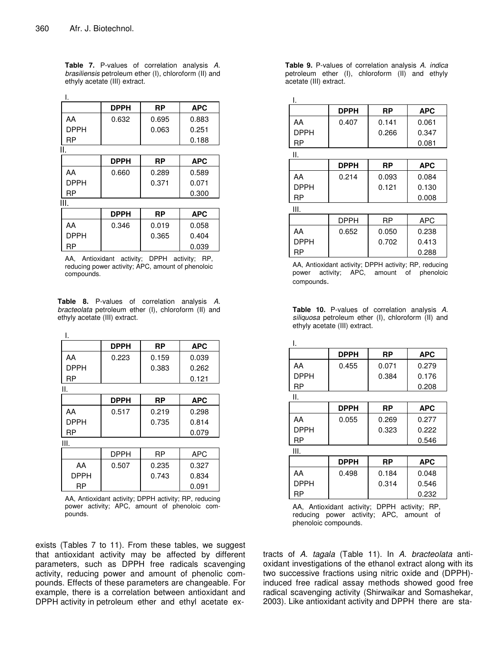I.

**Table 7.** P-values of correlation analysis *A. brasiliensis* petroleum ether (I), chloroform (II) and ethyly acetate (III) extract.

|             | <b>DPPH</b> | RP        | <b>APC</b> |
|-------------|-------------|-----------|------------|
| AA          | 0.632       | 0.695     | 0.883      |
| <b>DPPH</b> |             | 0.063     | 0.251      |
| <b>RP</b>   |             |           | 0.188      |
| Η.          |             |           |            |
|             | <b>DPPH</b> | <b>RP</b> | <b>APC</b> |
| AA          | 0.660       | 0.289     | 0.589      |
| <b>DPPH</b> |             | 0.371     | 0.071      |
| RP          |             |           | 0.300      |
| III.        |             |           |            |
|             | <b>DPPH</b> | RP        | <b>APC</b> |
| AA          | 0.346       | 0.019     | 0.058      |
| <b>DPPH</b> |             | 0.365     | 0.404      |
| RP          |             |           | 0.039      |

AA, Antioxidant activity; DPPH activity; RP, reducing power activity; APC, amount of phenoloic compounds.

**Table 8.** P-values of correlation analysis *A. bracteolata* petroleum ether (I), chloroform (II) and ethyly acetate (III) extract.

|             | <b>DPPH</b> | RP    | <b>APC</b> |
|-------------|-------------|-------|------------|
| AA          | 0.223       | 0.159 | 0.039      |
| <b>DPPH</b> |             | 0.383 | 0.262      |
| RP          |             |       | 0.121      |
| ΙΙ.         |             |       |            |
|             | <b>DPPH</b> | RP    | <b>APC</b> |
| AA          | 0.517       | 0.219 | 0.298      |
| <b>DPPH</b> |             | 0.735 | 0.814      |
| RP          |             |       | 0.079      |
| III.        |             |       |            |
|             | <b>DPPH</b> | RP    | APC        |
| AA          | 0.507       | 0.235 | 0.327      |
| <b>DPPH</b> |             | 0.743 | 0.834      |
| RP          |             |       | 0.091      |

AA, Antioxidant activity; DPPH activity; RP, reducing power activity; APC, amount of phenoloic compounds.

exists (Tables 7 to 11). From these tables, we suggest that antioxidant activity may be affected by different parameters, such as DPPH free radicals scavenging activity, reducing power and amount of phenolic compounds. Effects of these parameters are changeable. For example, there is a correlation between antioxidant and DPPH activity in petroleum ether and ethyl acetate ex**Table 9.** P-values of correlation analysis *A. indica* petroleum ether (I), chloroform (II) and ethyly acetate (III) extract.

I.

| ι.          |             |           |            |
|-------------|-------------|-----------|------------|
|             | <b>DPPH</b> | <b>RP</b> | <b>APC</b> |
| AA          | 0.407       | 0.141     | 0.061      |
| <b>DPPH</b> |             | 0.266     | 0.347      |
| RP          |             |           | 0.081      |
| Ш.          |             |           |            |
|             | <b>DPPH</b> | <b>RP</b> | <b>APC</b> |
| AA          | 0.214       | 0.093     | 0.084      |
| <b>DPPH</b> |             | 0.121     | 0.130      |
| RP          |             |           | 0.008      |
| Ш.          |             |           |            |
|             | DPPH        | RP        | <b>APC</b> |
| AA          | 0.652       | 0.050     | 0.238      |
| DPPH        |             | 0.702     | 0.413      |

AA, Antioxidant activity; DPPH activity; RP, reducing power activity; APC, amount of phenoloic compounds.

RP 0.288

|  | <b>Table 10.</b> P-values of correlation analysis A. |  |  |  |
|--|------------------------------------------------------|--|--|--|
|  | siliguosa petroleum ether (I), chloroform (II) and   |  |  |  |
|  | ethyly acetate (III) extract.                        |  |  |  |

|             | <b>DPPH</b> | RP    | <b>APC</b> |
|-------------|-------------|-------|------------|
| AA          | 0.455       | 0.071 | 0.279      |
| <b>DPPH</b> |             | 0.384 | 0.176      |
| RP          |             |       | 0.208      |
| Ⅱ.          |             |       |            |
|             | <b>DPPH</b> | RP    | <b>APC</b> |
| AA          | 0.055       | 0.269 | 0.277      |
| <b>DPPH</b> |             | 0.323 | 0.222      |
| RP          |             |       | 0.546      |
|             |             |       |            |
| Ш.          |             |       |            |

|             | <b>DPPH</b> | <b>RP</b> | <b>APC</b> |
|-------------|-------------|-----------|------------|
| AA          | 0.498       | 0.184     | 0.048      |
| <b>DPPH</b> |             | 0.314     | 0.546      |
| RP          |             |           | 0.232      |

AA, Antioxidant activity; DPPH activity; RP, reducing power activity; APC, amount of phenoloic compounds.

tracts of *A. tagala* (Table 11). In *A. bracteolata* antioxidant investigations of the ethanol extract along with its two successive fractions using nitric oxide and (DPPH) induced free radical assay methods showed good free radical scavenging activity (Shirwaikar and Somashekar, 2003). Like antioxidant activity and DPPH there are sta